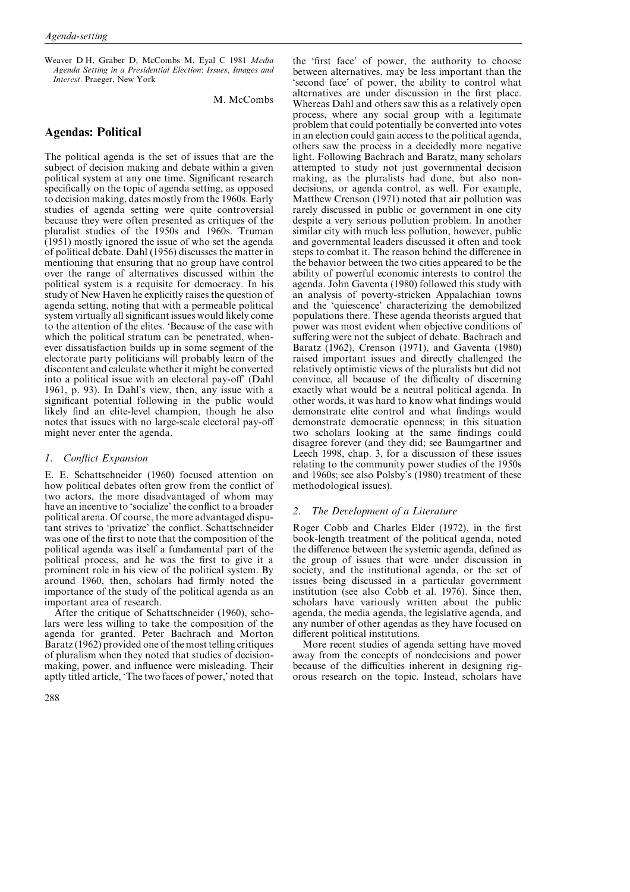Weaver D H, Graber D, McCombs M, Eyal C 1981 *Media Agenda Setting in a Presidential Election*: *Issues*, *Images and Interest*. Praeger, New York

M. McCombs

# **Agendas: Political**

The political agenda is the set of issues that are the subject of decision making and debate within a given political system at any one time. Significant research specifically on the topic of agenda setting, as opposed to decision making, dates mostly from the 1960s. Early studies of agenda setting were quite controversial because they were often presented as critiques of the pluralist studies of the 1950s and 1960s. Truman (1951) mostly ignored the issue of who set the agenda of political debate. Dahl (1956) discusses the matter in mentioning that ensuring that no group have control over the range of alternatives discussed within the political system is a requisite for democracy. In his study of New Haven he explicitly raises the question of agenda setting, noting that with a permeable political system virtually all significant issues would likely come to the attention of the elites. 'Because of the ease with which the political stratum can be penetrated, whenever dissatisfaction builds up in some segment of the electorate party politicians will probably learn of the discontent and calculate whether it might be converted into a political issue with an electoral pay-off' (Dahl 1961, p. 93). In Dahl's view, then, any issue with a significant potential following in the public would likely find an elite-level champion, though he also notes that issues with no large-scale electoral pay-off might never enter the agenda.

## *1. Conflict Expansion*

E. E. Schattschneider (1960) focused attention on how political debates often grow from the conflict of two actors, the more disadvantaged of whom may have an incentive to 'socialize' the conflict to a broader political arena. Of course, the more advantaged disputant strives to 'privatize' the conflict. Schattschneider was one of the first to note that the composition of the political agenda was itself a fundamental part of the political process, and he was the first to give it a prominent role in his view of the political system. By around 1960, then, scholars had firmly noted the importance of the study of the political agenda as an important area of research.

After the critique of Schattschneider (1960), scholars were less willing to take the composition of the agenda for granted. Peter Bachrach and Morton Baratz (1962) provided one of the most telling critiques of pluralism when they noted that studies of decisionmaking, power, and influence were misleading. Their aptly titled article, 'The two faces of power,' noted that the 'first face' of power, the authority to choose between alternatives, may be less important than the 'second face' of power, the ability to control what alternatives are under discussion in the first place. Whereas Dahl and others saw this as a relatively open process, where any social group with a legitimate problem that could potentially be converted into votes in an election could gain access to the political agenda, others saw the process in a decidedly more negative light. Following Bachrach and Baratz, many scholars attempted to study not just governmental decision making, as the pluralists had done, but also nondecisions, or agenda control, as well. For example, Matthew Crenson (1971) noted that air pollution was rarely discussed in public or government in one city despite a very serious pollution problem. In another similar city with much less pollution, however, public and governmental leaders discussed it often and took steps to combat it. The reason behind the difference in the behavior between the two cities appeared to be the ability of powerful economic interests to control the agenda. John Gaventa (1980) followed this study with an analysis of poverty-stricken Appalachian towns and the 'quiescence' characterizing the demobilized populations there. These agenda theorists argued that power was most evident when objective conditions of suffering were not the subject of debate. Bachrach and Baratz (1962), Crenson (1971), and Gaventa (1980) raised important issues and directly challenged the relatively optimistic views of the pluralists but did not convince, all because of the difficulty of discerning exactly what would be a neutral political agenda. In other words, it was hard to know what findings would demonstrate elite control and what findings would demonstrate democratic openness; in this situation two scholars looking at the same findings could disagree forever (and they did; see Baumgartner and Leech 1998, chap. 3, for a discussion of these issues relating to the community power studies of the 1950s and 1960s; see also Polsby's (1980) treatment of these methodological issues).

## *2. The Deelopment of a Literature*

Roger Cobb and Charles Elder (1972), in the first book-length treatment of the political agenda, noted the difference between the systemic agenda, defined as the group of issues that were under discussion in society, and the institutional agenda, or the set of issues being discussed in a particular government institution (see also Cobb et al. 1976). Since then, scholars have variously written about the public agenda, the media agenda, the legislative agenda, and any number of other agendas as they have focused on different political institutions.

More recent studies of agenda setting have moved away from the concepts of nondecisions and power because of the difficulties inherent in designing rigorous research on the topic. Instead, scholars have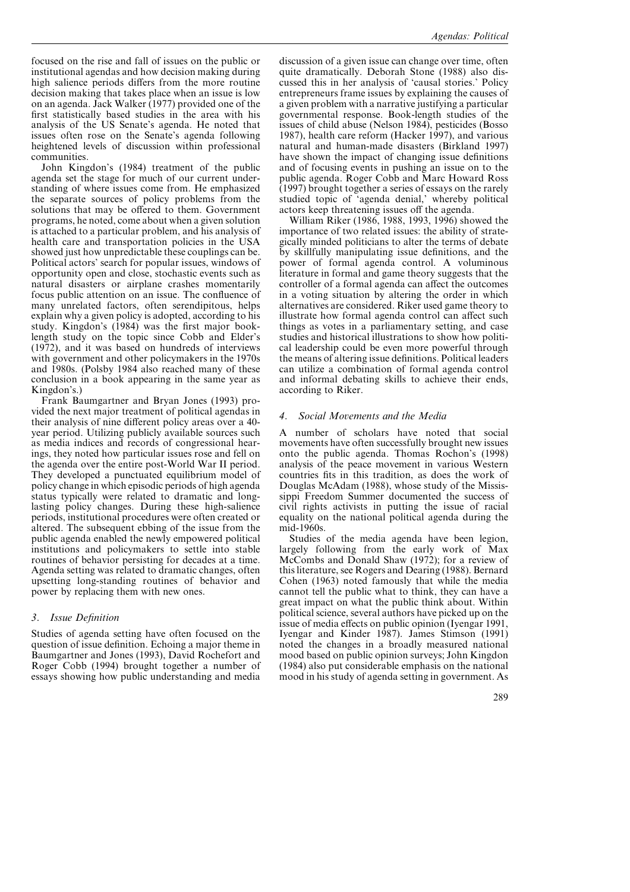focused on the rise and fall of issues on the public or institutional agendas and how decision making during high salience periods differs from the more routine decision making that takes place when an issue is low on an agenda. Jack Walker (1977) provided one of the first statistically based studies in the area with his analysis of the US Senate's agenda. He noted that issues often rose on the Senate's agenda following heightened levels of discussion within professional communities.

John Kingdon's (1984) treatment of the public agenda set the stage for much of our current understanding of where issues come from. He emphasized the separate sources of policy problems from the solutions that may be offered to them. Government programs, he noted, come about when a given solution is attached to a particular problem, and his analysis of health care and transportation policies in the USA showed just how unpredictable these couplings can be. Political actors' search for popular issues, windows of opportunity open and close, stochastic events such as natural disasters or airplane crashes momentarily focus public attention on an issue. The confluence of many unrelated factors, often serendipitous, helps explain why a given policy is adopted, according to his study. Kingdon's (1984) was the first major booklength study on the topic since Cobb and Elder's (1972), and it was based on hundreds of interviews with government and other policymakers in the 1970s and 1980s. (Polsby 1984 also reached many of these conclusion in a book appearing in the same year as Kingdon's.)

Frank Baumgartner and Bryan Jones (1993) provided the next major treatment of political agendas in their analysis of nine different policy areas over a 40 year period. Utilizing publicly available sources such as media indices and records of congressional hearings, they noted how particular issues rose and fell on the agenda over the entire post-World War II period. They developed a punctuated equilibrium model of policy change in which episodic periods of high agenda status typically were related to dramatic and longlasting policy changes. During these high-salience periods, institutional procedures were often created or altered. The subsequent ebbing of the issue from the public agenda enabled the newly empowered political institutions and policymakers to settle into stable routines of behavior persisting for decades at a time. Agenda setting was related to dramatic changes, often upsetting long-standing routines of behavior and power by replacing them with new ones.

## *3. Issue Definition*

Studies of agenda setting have often focused on the question of issue definition. Echoing a major theme in Baumgartner and Jones (1993), David Rochefort and Roger Cobb (1994) brought together a number of essays showing how public understanding and media

discussion of a given issue can change over time, often quite dramatically. Deborah Stone (1988) also discussed this in her analysis of 'causal stories.' Policy entrepreneurs frame issues by explaining the causes of a given problem with a narrative justifying a particular governmental response. Book-length studies of the issues of child abuse (Nelson 1984), pesticides (Bosso 1987), health care reform (Hacker 1997), and various natural and human-made disasters (Birkland 1997) have shown the impact of changing issue definitions and of focusing events in pushing an issue on to the public agenda. Roger Cobb and Marc Howard Ross (1997) brought together a series of essays on the rarely studied topic of 'agenda denial,' whereby political actors keep threatening issues off the agenda.

William Riker (1986, 1988, 1993, 1996) showed the importance of two related issues: the ability of strategically minded politicians to alter the terms of debate by skillfully manipulating issue definitions, and the power of formal agenda control. A voluminous literature in formal and game theory suggests that the controller of a formal agenda can affect the outcomes in a voting situation by altering the order in which alternatives are considered. Riker used game theory to illustrate how formal agenda control can affect such things as votes in a parliamentary setting, and case studies and historical illustrations to show how political leadership could be even more powerful through the means of altering issue definitions. Political leaders can utilize a combination of formal agenda control and informal debating skills to achieve their ends, according to Riker.

## *4. Social Moements and the Media*

A number of scholars have noted that social movements have often successfully brought new issues onto the public agenda. Thomas Rochon's (1998) analysis of the peace movement in various Western countries fits in this tradition, as does the work of Douglas McAdam (1988), whose study of the Mississippi Freedom Summer documented the success of civil rights activists in putting the issue of racial equality on the national political agenda during the mid-1960s.

Studies of the media agenda have been legion, largely following from the early work of Max McCombs and Donald Shaw (1972); for a review of this literature, see Rogers and Dearing (1988). Bernard Cohen (1963) noted famously that while the media cannot tell the public what to think, they can have a great impact on what the public think about. Within political science, several authors have picked up on the issue of media effects on public opinion (Iyengar 1991, Iyengar and Kinder 1987). James Stimson (1991) noted the changes in a broadly measured national mood based on public opinion surveys; John Kingdon (1984) also put considerable emphasis on the national mood in his study of agenda setting in government. As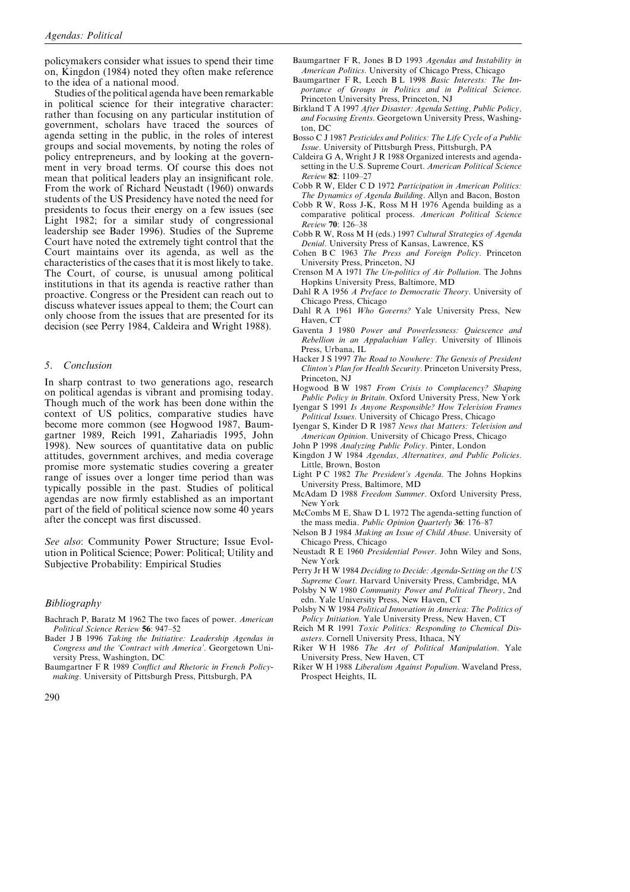policymakers consider what issues to spend their time on, Kingdon (1984) noted they often make reference to the idea of a national mood.

Studies of the political agenda have been remarkable in political science for their integrative character: rather than focusing on any particular institution of government, scholars have traced the sources of agenda setting in the public, in the roles of interest groups and social movements, by noting the roles of policy entrepreneurs, and by looking at the government in very broad terms. Of course this does not mean that political leaders play an insignificant role. From the work of Richard Neustadt (1960) onwards students of the US Presidency have noted the need for presidents to focus their energy on a few issues (see Light 1982; for a similar study of congressional leadership see Bader 1996). Studies of the Supreme Court have noted the extremely tight control that the Court maintains over its agenda, as well as the characteristics of the cases that it is most likely to take. The Court, of course, is unusual among political institutions in that its agenda is reactive rather than proactive. Congress or the President can reach out to discuss whatever issues appeal to them; the Court can only choose from the issues that are presented for its decision (see Perry 1984, Caldeira and Wright 1988).

#### *5. Conclusion*

In sharp contrast to two generations ago, research on political agendas is vibrant and promising today. Though much of the work has been done within the context of US politics, comparative studies have become more common (see Hogwood 1987, Baumgartner 1989, Reich 1991, Zahariadis 1995, John 1998). New sources of quantitative data on public attitudes, government archives, and media coverage promise more systematic studies covering a greater range of issues over a longer time period than was typically possible in the past. Studies of political agendas are now firmly established as an important part of the field of political science now some 40 years after the concept was first discussed.

*See also*: Community Power Structure; Issue Evolution in Political Science; Power: Political; Utility and Subjective Probability: Empirical Studies

### *Bibliography*

- Bachrach P, Baratz M 1962 The two faces of power. *American Political Science Reiew* **56**: 947–52
- Bader J B 1996 *Taking the Initiatie: Leadership Agendas in Congress and the 'Contract with America'*. Georgetown University Press, Washington, DC
- Baumgartner F R 1989 *Conflict and Rhetoric in French Policymaking*. University of Pittsburgh Press, Pittsburgh, PA
- Baumgartner F R, Jones B D 1993 *Agendas and Instability in American Politics*. University of Chicago Press, Chicago
- Baumgartner F R, Leech B L 1998 *Basic Interests: The Importance of Groups in Politics and in Political Science*. Princeton University Press, Princeton, NJ
- Birkland T A 1997 *After Disaster: Agenda Setting, Public Policy, and Focusing Eents*. Georgetown University Press, Washington, DC
- Bosso C J 1987 *Pesticides and Politics: The Life Cycle of a Public Issue*. University of Pittsburgh Press, Pittsburgh, PA
- Caldeira G A, Wright J R 1988 Organized interests and agendasetting in the U.S. Supreme Court. *American Political Science Reiew* **82**: 1109–27
- Cobb R W, Elder C D 1972 *Participation in American Politics: The Dynamics of Agenda Building*. Allyn and Bacon, Boston
- Cobb R W, Ross J-K, Ross M H 1976 Agenda building as a comparative political process. *American Political Science Reiew* **70**: 126–38
- Cobb R W, Ross M H (eds.) 1997 *Cultural Strategies of Agenda Denial*. University Press of Kansas, Lawrence, KS
- Cohen B C 1963 *The Press and Foreign Policy*. Princeton University Press, Princeton, NJ
- Crenson M A 1971 *The Un*-*politics of Air Pollution*. The Johns Hopkins University Press, Baltimore, MD
- Dahl R A 1956 *A Preface to Democratic Theory*. University of Chicago Press, Chicago
- Dahl R A 1961 *Who Goerns?* Yale University Press, New Haven, CT
- Gaventa J 1980 *Power and Powerlessness: Quiescence and Rebellion in an Appalachian Valley*. University of Illinois Press, Urbana, IL
- Hacker J S 1997 *The Road to Nowhere: The Genesis of President Clinton's Plan for Health Security*. Princeton University Press, Princeton, NJ
- Hogwood B W 1987 *From Crisis to Complacency? Shaping Public Policy in Britain*. Oxford University Press, New York
- Iyengar S 1991 *Is Anyone Responsible? How Teleision Frames Political Issues*. University of Chicago Press, Chicago
- Iyengar S, Kinder D R 1987 *News that Matters: Teleision and American Opinion*. University of Chicago Press, Chicago
- John P 1998 *Analyzing Public Policy*. Pinter, London
- Kingdon J W 1984 *Agendas, Alternaties, and Public Policies*. Little, Brown, Boston
- Light P C 1982 *The President's Agenda*. The Johns Hopkins University Press, Baltimore, MD
- McAdam D 1988 *Freedom Summer*. Oxford University Press, New York
- McCombs M E, Shaw D L 1972 The agenda-setting function of the mass media. *Public Opinion Quarterly* **36**: 176–87
- Nelson B J 1984 *Making an Issue of Child Abuse*. University of Chicago Press, Chicago
- Neustadt R E 1960 *Presidential Power*. John Wiley and Sons, New York
- Perry Jr H W 1984 *Deciding to Decide: Agenda-Setting on the US Supreme Court*. Harvard University Press, Cambridge, MA
- Polsby N W 1980 *Community Power and Political Theory*, 2nd edn. Yale University Press, New Haven, CT
- Polsby N W 1984 *Political Innoation in America: The Politics of Policy Initiation*. Yale University Press, New Haven, CT
- Reich M R 1991 *Toxic Politics: Responding to Chemical Disasters*. Cornell University Press, Ithaca, NY
- Riker W H 1986 *The Art of Political Manipulation*. Yale University Press, New Haven, CT
- Riker W H 1988 *Liberalism Against Populism*. Waveland Press, Prospect Heights, IL